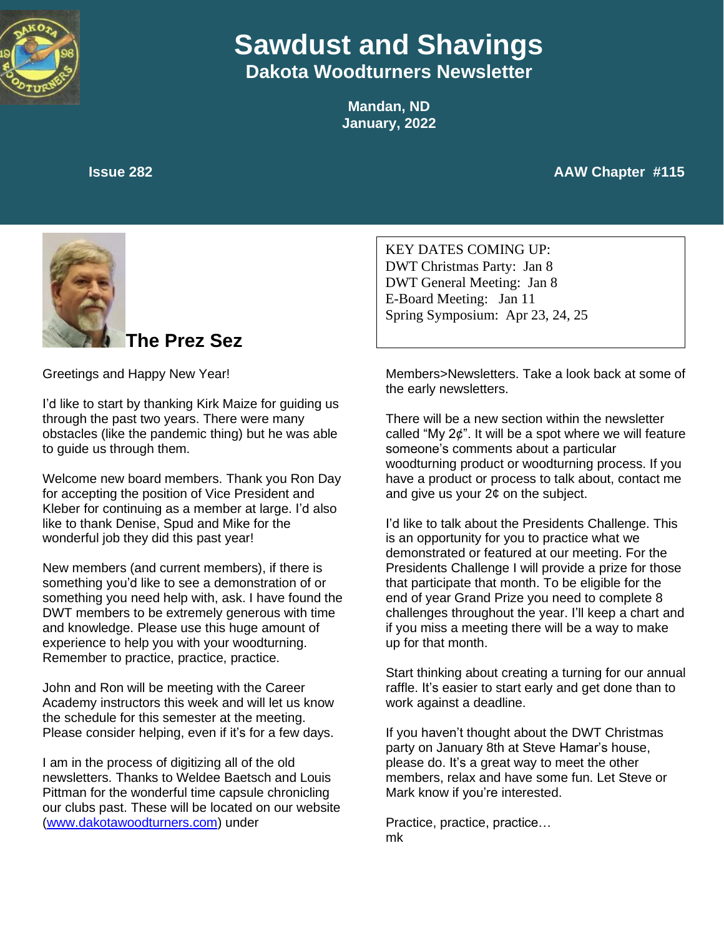

# **Sawdust and Shavings Dakota Woodturners Newsletter**

**Mandan, ND January, 2022**

**Issue 282 AAW Chapter #115** 



# **The Prez Sez**

Greetings and Happy New Year!

I'd like to start by thanking Kirk Maize for guiding us through the past two years. There were many obstacles (like the pandemic thing) but he was able to guide us through them.

Welcome new board members. Thank you Ron Day for accepting the position of Vice President and Kleber for continuing as a member at large. I'd also like to thank Denise, Spud and Mike for the wonderful job they did this past year!

New members (and current members), if there is something you'd like to see a demonstration of or something you need help with, ask. I have found the DWT members to be extremely generous with time and knowledge. Please use this huge amount of experience to help you with your woodturning. Remember to practice, practice, practice.

John and Ron will be meeting with the Career Academy instructors this week and will let us know the schedule for this semester at the meeting. Please consider helping, even if it's for a few days.

I am in the process of digitizing all of the old newsletters. Thanks to Weldee Baetsch and Louis Pittman for the wonderful time capsule chronicling our clubs past. These will be located on our website [\(www.dakotawoodturners.com\)](http://www.dakotawoodturners.com/) under

KEY DATES COMING UP: DWT Christmas Party: Jan 8 DWT General Meeting: Jan 8 E-Board Meeting: Jan 11 Spring Symposium: Apr 23, 24, 25

Members>Newsletters. Take a look back at some of the early newsletters.

There will be a new section within the newsletter called "My 2¢". It will be a spot where we will feature someone's comments about a particular woodturning product or woodturning process. If you have a product or process to talk about, contact me and give us your 2¢ on the subject.

I'd like to talk about the Presidents Challenge. This is an opportunity for you to practice what we demonstrated or featured at our meeting. For the Presidents Challenge I will provide a prize for those that participate that month. To be eligible for the end of year Grand Prize you need to complete 8 challenges throughout the year. I'll keep a chart and if you miss a meeting there will be a way to make up for that month.

Start thinking about creating a turning for our annual raffle. It's easier to start early and get done than to work against a deadline.

If you haven't thought about the DWT Christmas party on January 8th at Steve Hamar's house, please do. It's a great way to meet the other members, relax and have some fun. Let Steve or Mark know if you're interested.

Practice, practice, practice… mk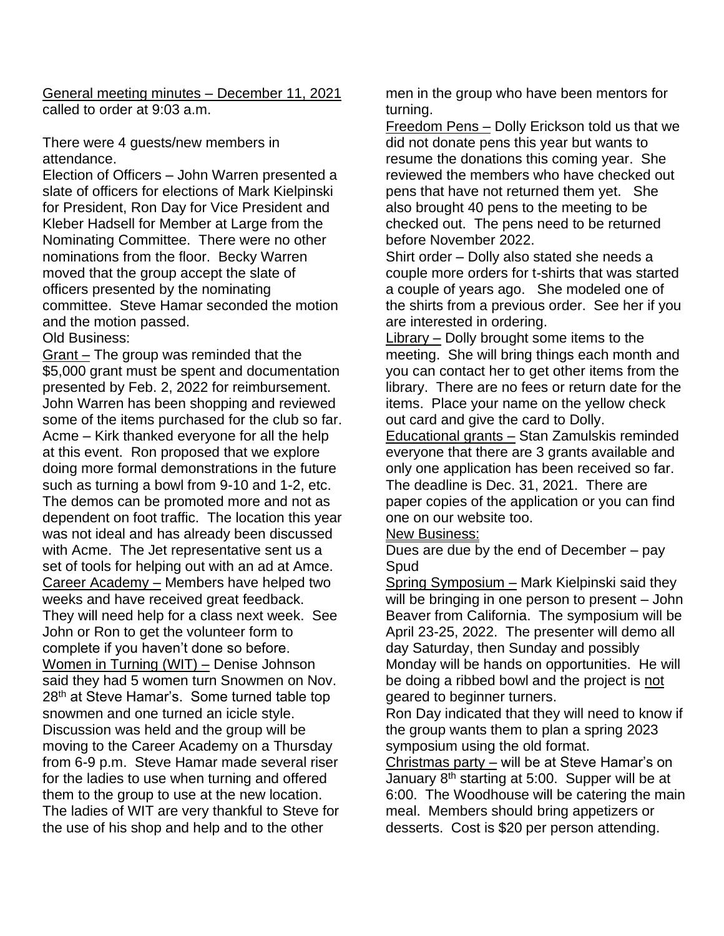## General meeting minutes – December 11, 2021 called to order at 9:03 a.m.

There were 4 guests/new members in attendance.

Election of Officers – John Warren presented a slate of officers for elections of Mark Kielpinski for President, Ron Day for Vice President and Kleber Hadsell for Member at Large from the Nominating Committee. There were no other nominations from the floor. Becky Warren moved that the group accept the slate of officers presented by the nominating committee. Steve Hamar seconded the motion and the motion passed.

Old Business:

Grant – The group was reminded that the \$5,000 grant must be spent and documentation presented by Feb. 2, 2022 for reimbursement. John Warren has been shopping and reviewed some of the items purchased for the club so far. Acme – Kirk thanked everyone for all the help at this event. Ron proposed that we explore doing more formal demonstrations in the future such as turning a bowl from 9-10 and 1-2, etc. The demos can be promoted more and not as dependent on foot traffic. The location this year was not ideal and has already been discussed with Acme. The Jet representative sent us a set of tools for helping out with an ad at Amce. Career Academy – Members have helped two weeks and have received great feedback. They will need help for a class next week. See John or Ron to get the volunteer form to complete if you haven't done so before. Women in Turning (WIT) – Denise Johnson said they had 5 women turn Snowmen on Nov. 28<sup>th</sup> at Steve Hamar's. Some turned table top snowmen and one turned an icicle style. Discussion was held and the group will be moving to the Career Academy on a Thursday from 6-9 p.m. Steve Hamar made several riser for the ladies to use when turning and offered them to the group to use at the new location. The ladies of WIT are very thankful to Steve for the use of his shop and help and to the other

men in the group who have been mentors for turning.

Freedom Pens – Dolly Erickson told us that we did not donate pens this year but wants to resume the donations this coming year. She reviewed the members who have checked out pens that have not returned them yet. She also brought 40 pens to the meeting to be checked out. The pens need to be returned before November 2022.

Shirt order – Dolly also stated she needs a couple more orders for t-shirts that was started a couple of years ago. She modeled one of the shirts from a previous order. See her if you are interested in ordering.

Library – Dolly brought some items to the meeting. She will bring things each month and you can contact her to get other items from the library. There are no fees or return date for the items. Place your name on the yellow check out card and give the card to Dolly.

Educational grants – Stan Zamulskis reminded everyone that there are 3 grants available and only one application has been received so far. The deadline is Dec. 31, 2021. There are paper copies of the application or you can find one on our website too.

## New Business:

Dues are due by the end of December – pay Spud

Spring Symposium – Mark Kielpinski said they will be bringing in one person to present – John Beaver from California. The symposium will be April 23-25, 2022. The presenter will demo all day Saturday, then Sunday and possibly Monday will be hands on opportunities. He will be doing a ribbed bowl and the project is not geared to beginner turners.

Ron Day indicated that they will need to know if the group wants them to plan a spring 2023 symposium using the old format.

Christmas party – will be at Steve Hamar's on January  $8<sup>th</sup>$  starting at 5:00. Supper will be at 6:00. The Woodhouse will be catering the main meal. Members should bring appetizers or desserts. Cost is \$20 per person attending.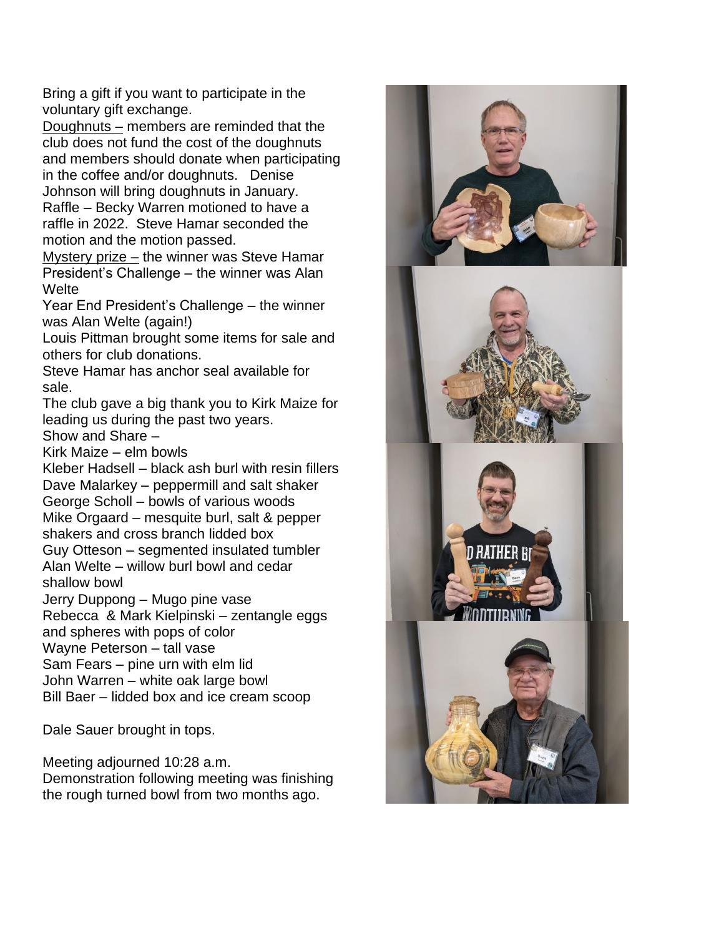Bring a gift if you want to participate in the voluntary gift exchange.

Doughnuts – members are reminded that the club does not fund the cost of the doughnuts and members should donate when participating in the coffee and/or doughnuts. Denise Johnson will bring doughnuts in January. Raffle – Becky Warren motioned to have a raffle in 2022. Steve Hamar seconded the motion and the motion passed.

Mystery prize - the winner was Steve Hamar President's Challenge – the winner was Alan **Welte** 

Year End President's Challenge – the winner was Alan Welte (again!)

Louis Pittman brought some items for sale and others for club donations.

Steve Hamar has anchor seal available for sale.

The club gave a big thank you to Kirk Maize for leading us during the past two years.

Show and Share –

Kirk Maize – elm bowls

Kleber Hadsell – black ash burl with resin fillers Dave Malarkey – peppermill and salt shaker George Scholl – bowls of various woods

Mike Orgaard – mesquite burl, salt & pepper shakers and cross branch lidded box

Guy Otteson – segmented insulated tumbler Alan Welte – willow burl bowl and cedar shallow bowl

Jerry Duppong – Mugo pine vase

Rebecca & Mark Kielpinski – zentangle eggs and spheres with pops of color

Wayne Peterson – tall vase

Sam Fears – pine urn with elm lid

John Warren – white oak large bowl

Bill Baer – lidded box and ice cream scoop

Dale Sauer brought in tops.

Meeting adjourned 10:28 a.m.

Demonstration following meeting was finishing the rough turned bowl from two months ago.

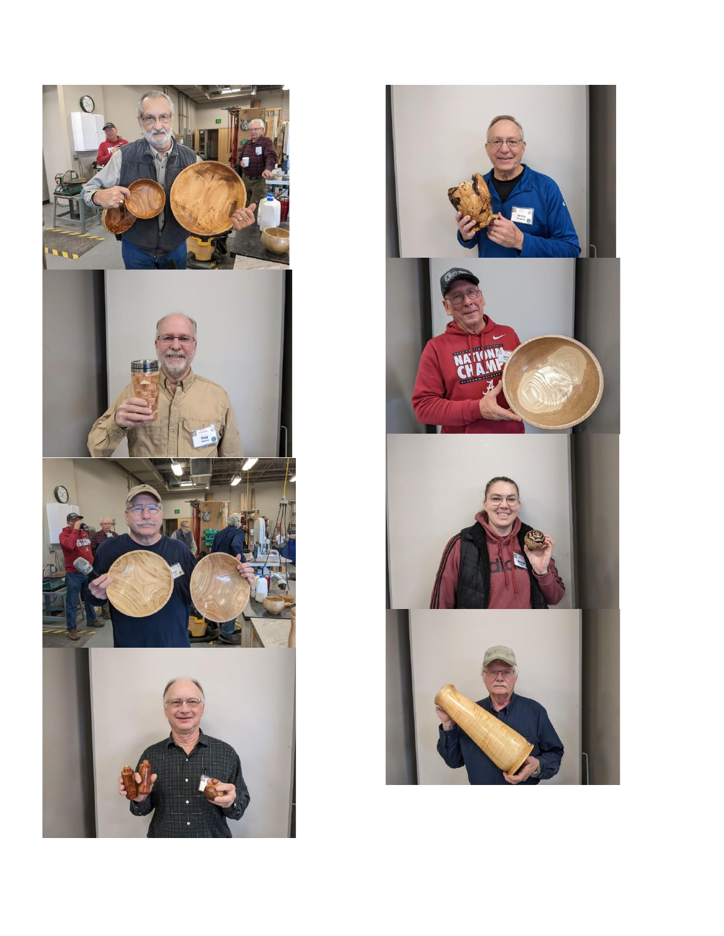

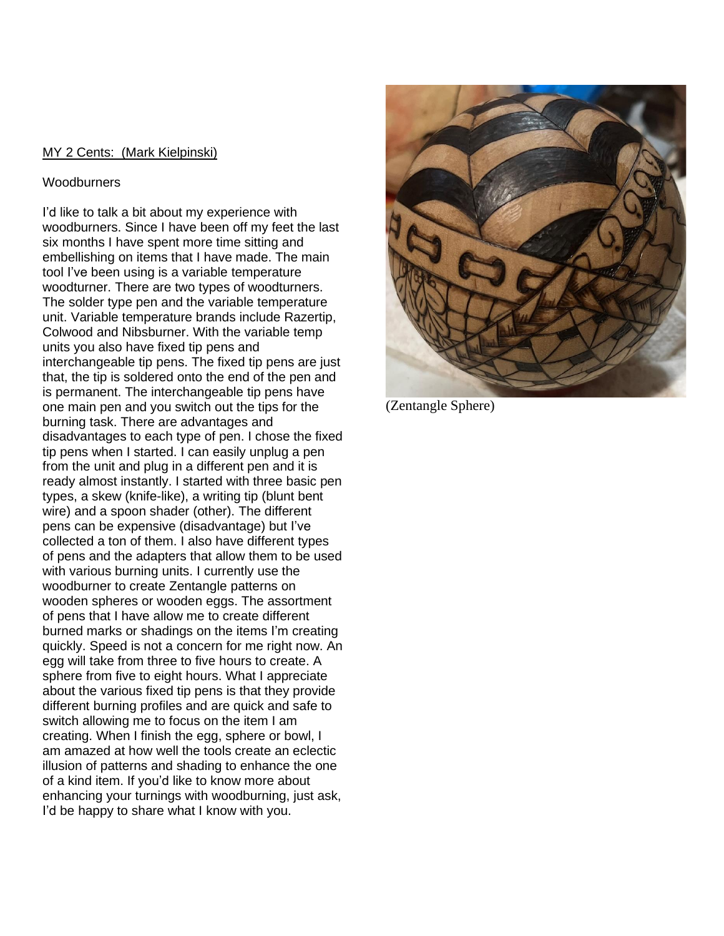### MY 2 Cents: (Mark Kielpinski)

### **Woodburners**

I'd like to talk a bit about my experience with woodburners. Since I have been off my feet the last six months I have spent more time sitting and embellishing on items that I have made. The main tool I've been using is a variable temperature woodturner. There are two types of woodturners. The solder type pen and the variable temperature unit. Variable temperature brands include Razertip, Colwood and Nibsburner. With the variable temp units you also have fixed tip pens and interchangeable tip pens. The fixed tip pens are just that, the tip is soldered onto the end of the pen and is permanent. The interchangeable tip pens have one main pen and you switch out the tips for the burning task. There are advantages and disadvantages to each type of pen. I chose the fixed tip pens when I started. I can easily unplug a pen from the unit and plug in a different pen and it is ready almost instantly. I started with three basic pen types, a skew (knife-like), a writing tip (blunt bent wire) and a spoon shader (other). The different pens can be expensive (disadvantage) but I've collected a ton of them. I also have different types of pens and the adapters that allow them to be used with various burning units. I currently use the woodburner to create Zentangle patterns on wooden spheres or wooden eggs. The assortment of pens that I have allow me to create different burned marks or shadings on the items I'm creating quickly. Speed is not a concern for me right now. An egg will take from three to five hours to create. A sphere from five to eight hours. What I appreciate about the various fixed tip pens is that they provide different burning profiles and are quick and safe to switch allowing me to focus on the item I am creating. When I finish the egg, sphere or bowl, I am amazed at how well the tools create an eclectic illusion of patterns and shading to enhance the one of a kind item. If you'd like to know more about enhancing your turnings with woodburning, just ask, I'd be happy to share what I know with you.



(Zentangle Sphere)